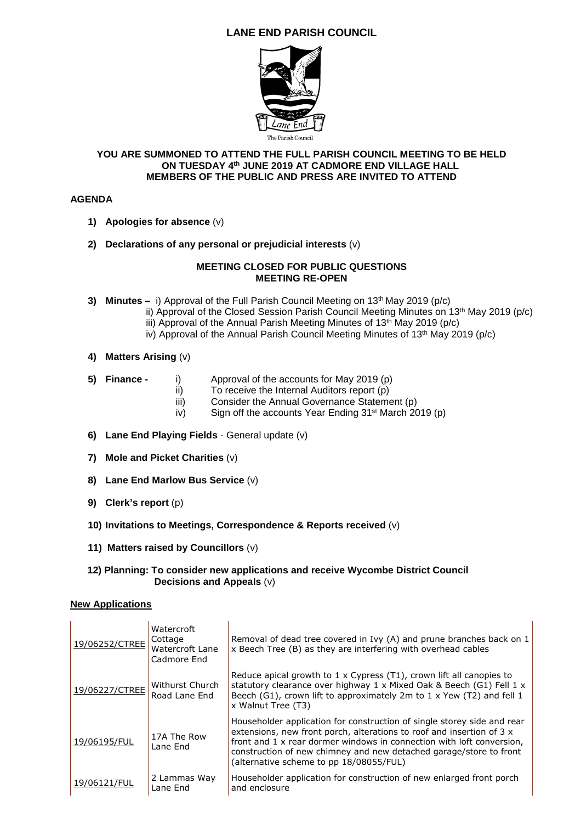# **LANE END PARISH COUNCIL**



### **YOU ARE SUMMONED TO ATTEND THE FULL PARISH COUNCIL MEETING TO BE HELD ON TUESDAY 4th JUNE 2019 AT CADMORE END VILLAGE HALL MEMBERS OF THE PUBLIC AND PRESS ARE INVITED TO ATTEND**

## **AGENDA**

- **1) Apologies for absence** (v)
- **2) Declarations of any personal or prejudicial interests** (v)

### **MEETING CLOSED FOR PUBLIC QUESTIONS MEETING RE-OPEN**

- **3) Minutes**  $-$  i) Approval of the Full Parish Council Meeting on 13<sup>th</sup> May 2019 (p/c)
	- ii) Approval of the Closed Session Parish Council Meeting Minutes on 13<sup>th</sup> May 2019 (p/c)
	- iii) Approval of the Annual Parish Meeting Minutes of  $13<sup>th</sup>$  May 2019 (p/c)
	- iv) Approval of the Annual Parish Council Meeting Minutes of 13th May 2019 (p/c)
- **4) Matters Arising** (v)
- **5) Finance** i) Approval of the accounts for May 2019 (p)
	- ii) To receive the Internal Auditors report (p)
	- iii) Consider the Annual Governance Statement (p)
	- $iv$  Sign off the accounts Year Ending 31<sup>st</sup> March 2019 (p)
- **6) Lane End Playing Fields** General update (v)
- **7) Mole and Picket Charities** (v)
- **8) Lane End Marlow Bus Service** (v)
- **9) Clerk's report** (p)
- **10) Invitations to Meetings, Correspondence & Reports received** (v)
- **11) Matters raised by Councillors** (v)

#### **12) Planning: To consider new applications and receive Wycombe District Council Decisions and Appeals** (v)

## **New Applications**

| 19/06252/CTREE | Watercroft<br>Cottage<br>Watercroft Lane<br>Cadmore End | Removal of dead tree covered in Ivy $(A)$ and prune branches back on 1<br>x Beech Tree (B) as they are interfering with overhead cables                                                                                                                                                                                                    |
|----------------|---------------------------------------------------------|--------------------------------------------------------------------------------------------------------------------------------------------------------------------------------------------------------------------------------------------------------------------------------------------------------------------------------------------|
| 19/06227/CTREE | Withurst Church<br>Road Lane End                        | Reduce apical growth to 1 x Cypress (T1), crown lift all canopies to<br>statutory clearance over highway 1 x Mixed Oak & Beech (G1) Fell 1 x<br>Beech (G1), crown lift to approximately 2m to $1 \times$ Yew (T2) and fell 1<br>x Walnut Tree (T3)                                                                                         |
| 19/06195/FUL   | 17A The Row<br>Lane End                                 | Householder application for construction of single storey side and rear<br>extensions, new front porch, alterations to roof and insertion of 3 x<br>front and 1 x rear dormer windows in connection with loft conversion,<br>construction of new chimney and new detached garage/store to front<br>(alternative scheme to pp 18/08055/FUL) |
| 19/06121/FUL   | 2 Lammas Way<br>Lane End                                | Householder application for construction of new enlarged front porch<br>and enclosure                                                                                                                                                                                                                                                      |